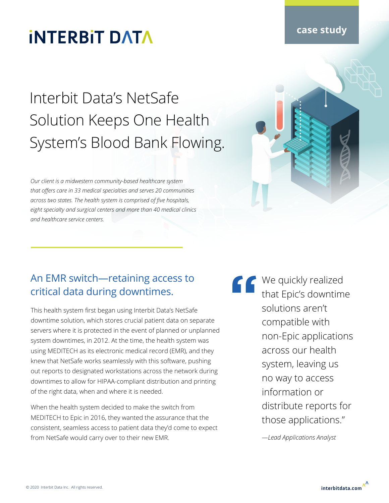#### **case study**

## **INTERBIT DATA**

# Interbit Data's NetSafe Solution Keeps One Health System's Blood Bank Flowing.

*Our client is a midwestern community-based healthcare system that offers care in 33 medical specialties and serves 20 communities across two states. The health system is comprised of five hospitals, eight specialty and surgical centers and more than 40 medical clinics and healthcare service centers.*

### An EMR switch—retaining access to critical data during downtimes.

This health system first began using Interbit Data's NetSafe downtime solution, which stores crucial patient data on separate servers where it is protected in the event of planned or unplanned system downtimes, in 2012. At the time, the health system was using MEDITECH as its electronic medical record (EMR), and they knew that NetSafe works seamlessly with this software, pushing out reports to designated workstations across the network during downtimes to allow for HIPAA-compliant distribution and printing of the right data, when and where it is needed.

When the health system decided to make the switch from MEDITECH to Epic in 2016, they wanted the assurance that the consistent, seamless access to patient data they'd come to expect from NetSafe would carry over to their new EMR.

**T** We quickly realized that Epic's downtime solutions aren't compatible with non-Epic applications across our health system, leaving us no way to access information or distribute reports for those applications."

*—Lead Applications Analyst*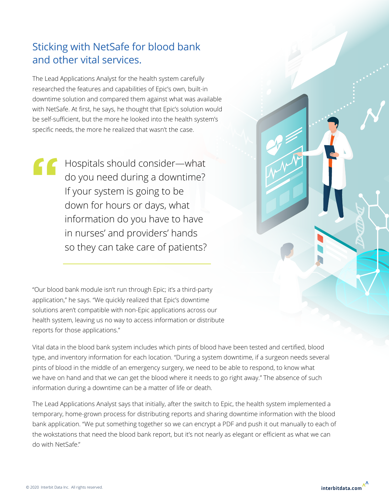### Sticking with NetSafe for blood bank and other vital services.

The Lead Applications Analyst for the health system carefully researched the features and capabilities of Epic's own, built-in downtime solution and compared them against what was available with NetSafe. At first, he says, he thought that Epic's solution would be self-sufficient, but the more he looked into the health system's specific needs, the more he realized that wasn't the case.

Hospitals should consider—what do you need during a downtime? If your system is going to be down for hours or days, what information do you have to have in nurses' and providers' hands so they can take care of patients? **"**

"Our blood bank module isn't run through Epic; it's a third-party application," he says. "We quickly realized that Epic's downtime solutions aren't compatible with non-Epic applications across our health system, leaving us no way to access information or distribute reports for those applications."

Vital data in the blood bank system includes which pints of blood have been tested and certified, blood type, and inventory information for each location. "During a system downtime, if a surgeon needs several pints of blood in the middle of an emergency surgery, we need to be able to respond, to know what we have on hand and that we can get the blood where it needs to go right away." The absence of such information during a downtime can be a matter of life or death.

The Lead Applications Analyst says that initially, after the switch to Epic, the health system implemented a temporary, home-grown process for distributing reports and sharing downtime information with the blood bank application. "We put something together so we can encrypt a PDF and push it out manually to each of the wokstations that need the blood bank report, but it's not nearly as elegant or efficient as what we can do with NetSafe."